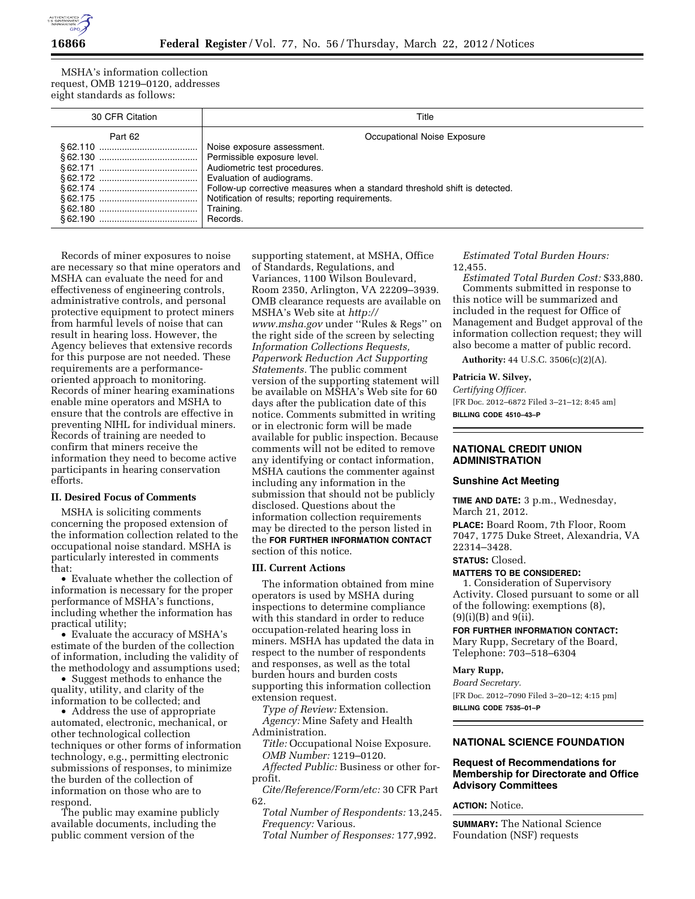

MSHA's information collection request, OMB 1219–0120, addresses eight standards as follows:

| 30 CFR Citation | Title                                                                      |
|-----------------|----------------------------------------------------------------------------|
| Part 62         | Occupational Noise Exposure                                                |
|                 | Noise exposure assessment.                                                 |
|                 | Permissible exposure level.                                                |
|                 | Audiometric test procedures.                                               |
|                 | Evaluation of audiograms.                                                  |
|                 | Follow-up corrective measures when a standard threshold shift is detected. |
|                 | Notification of results; reporting requirements.                           |
|                 | Training.                                                                  |
|                 | Records.                                                                   |

Records of miner exposures to noise are necessary so that mine operators and MSHA can evaluate the need for and effectiveness of engineering controls, administrative controls, and personal protective equipment to protect miners from harmful levels of noise that can result in hearing loss. However, the Agency believes that extensive records for this purpose are not needed. These requirements are a performanceoriented approach to monitoring. Records of miner hearing examinations enable mine operators and MSHA to ensure that the controls are effective in preventing NIHL for individual miners. Records of training are needed to confirm that miners receive the information they need to become active participants in hearing conservation efforts.

## **II. Desired Focus of Comments**

MSHA is soliciting comments concerning the proposed extension of the information collection related to the occupational noise standard. MSHA is particularly interested in comments that:

• Evaluate whether the collection of information is necessary for the proper performance of MSHA's functions, including whether the information has practical utility;

• Evaluate the accuracy of MSHA's estimate of the burden of the collection of information, including the validity of the methodology and assumptions used;

• Suggest methods to enhance the quality, utility, and clarity of the information to be collected; and

• Address the use of appropriate automated, electronic, mechanical, or other technological collection techniques or other forms of information technology, e.g., permitting electronic submissions of responses, to minimize the burden of the collection of information on those who are to respond.

The public may examine publicly available documents, including the public comment version of the

supporting statement, at MSHA, Office of Standards, Regulations, and Variances, 1100 Wilson Boulevard, Room 2350, Arlington, VA 22209–3939. OMB clearance requests are available on MSHA's Web site at *[http://](http://www.msha.gov) [www.msha.gov](http://www.msha.gov)* under ''Rules & Regs'' on the right side of the screen by selecting *Information Collections Requests, Paperwork Reduction Act Supporting Statements.* The public comment version of the supporting statement will be available on MSHA's Web site for 60 days after the publication date of this notice. Comments submitted in writing or in electronic form will be made available for public inspection. Because comments will not be edited to remove any identifying or contact information, MSHA cautions the commenter against including any information in the submission that should not be publicly disclosed. Questions about the information collection requirements may be directed to the person listed in the **FOR FURTHER INFORMATION CONTACT** section of this notice.

### **III. Current Actions**

The information obtained from mine operators is used by MSHA during inspections to determine compliance with this standard in order to reduce occupation-related hearing loss in miners. MSHA has updated the data in respect to the number of respondents and responses, as well as the total burden hours and burden costs supporting this information collection extension request.

*Type of Review:* Extension.

*Agency:* Mine Safety and Health Administration.

*Title:* Occupational Noise Exposure. *OMB Number:* 1219–0120.

*Affected Public:* Business or other forprofit.

*Cite/Reference/Form/etc:* 30 CFR Part 62.

*Total Number of Respondents:* 13,245. *Frequency:* Various.

*Total Number of Responses:* 177,992.

*Estimated Total Burden Hours:*  12,455.

*Estimated Total Burden Cost:* \$33,880. Comments submitted in response to this notice will be summarized and included in the request for Office of Management and Budget approval of the information collection request; they will also become a matter of public record.

**Authority:** 44 U.S.C. 3506(c)(2)(A).

#### **Patricia W. Silvey,**

*Certifying Officer.*  [FR Doc. 2012–6872 Filed 3–21–12; 8:45 am] **BILLING CODE 4510–43–P** 

# **NATIONAL CREDIT UNION ADMINISTRATION**

#### **Sunshine Act Meeting**

**TIME AND DATE:** 3 p.m., Wednesday, March 21, 2012. **PLACE:** Board Room, 7th Floor, Room

7047, 1775 Duke Street, Alexandria, VA 22314–3428.

# **STATUS:** Closed.

**MATTERS TO BE CONSIDERED:** 

1. Consideration of Supervisory Activity. Closed pursuant to some or all of the following: exemptions (8),  $(9)(i)(B)$  and  $9(ii)$ .

### **FOR FURTHER INFORMATION CONTACT:**

Mary Rupp, Secretary of the Board, Telephone: 703–518–6304

### **Mary Rupp,**

*Board Secretary.*  [FR Doc. 2012–7090 Filed 3–20–12; 4:15 pm] **BILLING CODE 7535–01–P** 

## **NATIONAL SCIENCE FOUNDATION**

### **Request of Recommendations for Membership for Directorate and Office Advisory Committees**

**ACTION:** Notice.

**SUMMARY:** The National Science Foundation (NSF) requests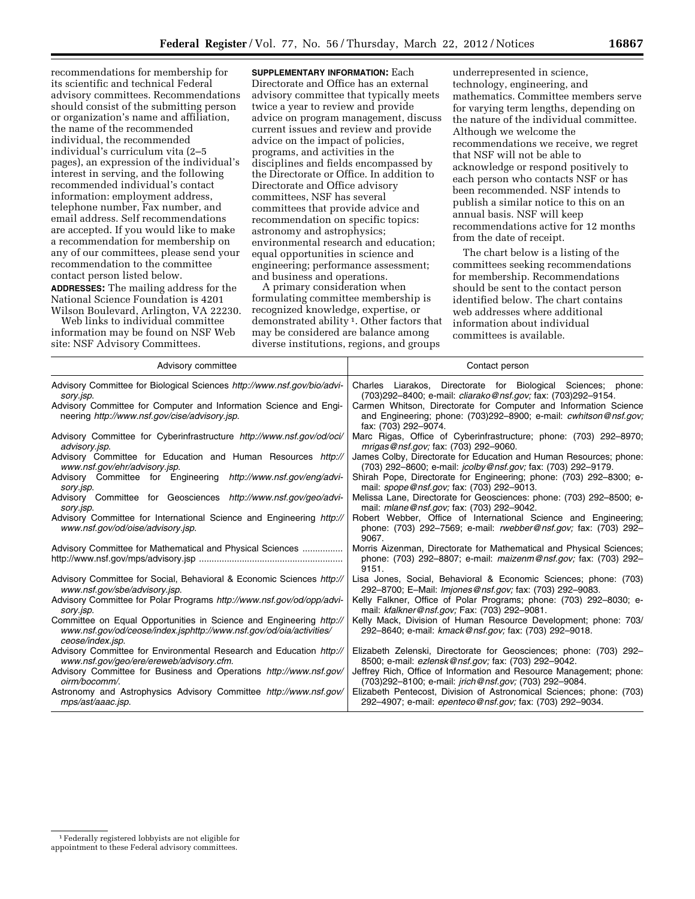recommendations for membership for its scientific and technical Federal advisory committees. Recommendations should consist of the submitting person or organization's name and affiliation, the name of the recommended individual, the recommended individual's curriculum vita (2–5 pages), an expression of the individual's interest in serving, and the following recommended individual's contact information: employment address, telephone number, Fax number, and email address. Self recommendations are accepted. If you would like to make a recommendation for membership on any of our committees, please send your recommendation to the committee contact person listed below.

**ADDRESSES:** The mailing address for the National Science Foundation is 4201 Wilson Boulevard, Arlington, VA 22230.

Web links to individual committee information may be found on NSF Web site: NSF Advisory Committees.

**SUPPLEMENTARY INFORMATION:** Each Directorate and Office has an external advisory committee that typically meets twice a year to review and provide advice on program management, discuss current issues and review and provide advice on the impact of policies, programs, and activities in the disciplines and fields encompassed by the Directorate or Office. In addition to Directorate and Office advisory committees, NSF has several committees that provide advice and recommendation on specific topics: astronomy and astrophysics; environmental research and education; equal opportunities in science and engineering; performance assessment; and business and operations.

A primary consideration when formulating committee membership is recognized knowledge, expertise, or demonstrated ability 1. Other factors that may be considered are balance among diverse institutions, regions, and groups

underrepresented in science, technology, engineering, and mathematics. Committee members serve for varying term lengths, depending on the nature of the individual committee. Although we welcome the recommendations we receive, we regret that NSF will not be able to acknowledge or respond positively to each person who contacts NSF or has been recommended. NSF intends to publish a similar notice to this on an annual basis. NSF will keep recommendations active for 12 months from the date of receipt.

The chart below is a listing of the committees seeking recommendations for membership. Recommendations should be sent to the contact person identified below. The chart contains web addresses where additional information about individual committees is available.

| Advisory committee                                                                                                                                             | Contact person                                                                                                                                                      |
|----------------------------------------------------------------------------------------------------------------------------------------------------------------|---------------------------------------------------------------------------------------------------------------------------------------------------------------------|
| Advisory Committee for Biological Sciences http://www.nsf.gov/bio/advi-                                                                                        | Charles Liarakos, Directorate for Biological Sciences; phone:                                                                                                       |
| sory.jsp.                                                                                                                                                      | (703)292-8400; e-mail: <i>cliarako@nsf.gov;</i> fax: (703)292-9154.                                                                                                 |
| Advisory Committee for Computer and Information Science and Engi-<br>neering http://www.nsf.gov/cise/advisory.jsp.                                             | Carmen Whitson, Directorate for Computer and Information Science<br>and Engineering; phone: (703)292-8900; e-mail: <i>cwhitson@nsf.gov;</i><br>fax: (703) 292-9074. |
| Advisory Committee for Cyberinfrastructure http://www.nsf.gov/od/oci/                                                                                          | Marc Rigas, Office of Cyberinfrastructure; phone: (703) 292-8970;                                                                                                   |
| advisory.jsp.                                                                                                                                                  | mrigas@nsf.gov; fax: (703) 292-9060.                                                                                                                                |
| Advisory Committee for Education and Human Resources http://                                                                                                   | James Colby, Directorate for Education and Human Resources; phone:                                                                                                  |
| www.nsf.gov/ehr/advisory.jsp.                                                                                                                                  | (703) 292-8600; e-mail: <i>jcolby@nsf.gov;</i> fax: (703) 292-9179.                                                                                                 |
| Advisory Committee for Engineering<br>http://www.nsf.gov/eng/advi-<br>sory.jsp.                                                                                | Shirah Pope, Directorate for Engineering; phone: (703) 292–8300; e-<br>mail: spope@nsf.gov; fax: (703) 292-9013.                                                    |
| Advisory Committee for Geosciences http://www.nsf.gov/geo/advi-                                                                                                | Melissa Lane, Directorate for Geosciences: phone: (703) 292–8500; e-                                                                                                |
| sory.jsp.                                                                                                                                                      | mail: <i>mlane@nsf.gov</i> ; fax: (703) 292-9042.                                                                                                                   |
| Advisory Committee for International Science and Engineering http://<br>www.nsf.gov/od/oise/advisory.jsp.                                                      | Robert Webber, Office of International Science and Engineering;<br>phone: (703) 292-7569; e-mail: <i>rwebber@nsf.gov</i> ; fax: (703) 292-<br>9067.                 |
| Advisory Committee for Mathematical and Physical Sciences                                                                                                      | Morris Aizenman, Directorate for Mathematical and Physical Sciences;<br>phone: (703) 292-8807; e-mail: maizenm@nsf.gov; fax: (703) 292-<br>9151.                    |
| Advisory Committee for Social, Behavioral & Economic Sciences http://                                                                                          | Lisa Jones, Social, Behavioral & Economic Sciences; phone: (703)                                                                                                    |
| www.nsf.gov/sbe/advisory.jsp.                                                                                                                                  | 292-8700; E-Mail: Imjones@nsf.gov; fax: (703) 292-9083.                                                                                                             |
| Advisory Committee for Polar Programs http://www.nsf.gov/od/opp/advi-                                                                                          | Kelly Falkner, Office of Polar Programs; phone: (703) 292–8030; e-                                                                                                  |
| sory.jsp.                                                                                                                                                      | mail: kfalkner@nsf.gov; Fax: (703) 292-9081.                                                                                                                        |
| Committee on Equal Opportunities in Science and Engineering http://<br>www.nsf.gov/od/ceose/index.jsphttp://www.nsf.gov/od/oia/activities/<br>ceose/index.jsp. | Kelly Mack, Division of Human Resource Development; phone: 703/<br>292-8640; e-mail: kmack@nsf.gov; fax: (703) 292-9018.                                            |
| Advisory Committee for Environmental Research and Education http://                                                                                            | Elizabeth Zelenski, Directorate for Geosciences; phone: (703) 292-                                                                                                  |
| www.nsf.gov/geo/ere/ereweb/advisory.cfm.                                                                                                                       | 8500; e-mail: ezlensk@nsf.gov; fax: (703) 292-9042.                                                                                                                 |
| Advisory Committee for Business and Operations http://www.nsf.gov/                                                                                             | Jeffrey Rich, Office of Information and Resource Management; phone:                                                                                                 |
| oirm/bocomm/.                                                                                                                                                  | (703)292-8100; e-mail: <i>jrich@nsf.gov;</i> (703) 292-9084.                                                                                                        |
| Astronomy and Astrophysics Advisory Committee http://www.nsf.gov/                                                                                              | Elizabeth Pentecost, Division of Astronomical Sciences; phone: (703)                                                                                                |
| mps/ast/aaac.jsp.                                                                                                                                              | 292-4907; e-mail: epenteco@nsf.gov; fax: (703) 292-9034.                                                                                                            |

<sup>1</sup>Federally registered lobbyists are not eligible for appointment to these Federal advisory committees.